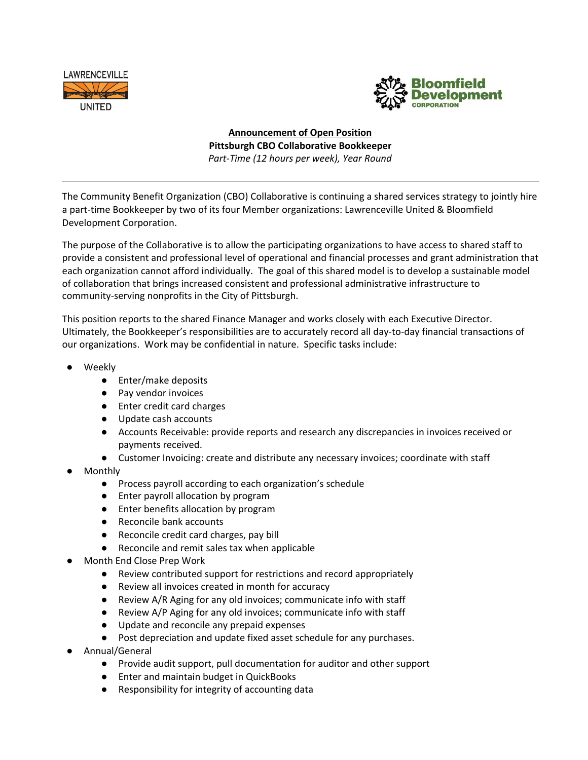



**Announcement of Open Position Pittsburgh CBO Collaborative Bookkeeper** *Part-Time (12 hours per week), Year Round*

The Community Benefit Organization (CBO) Collaborative is continuing a shared services strategy to jointly hire a part-time Bookkeeper by two of its four Member organizations: Lawrenceville United & Bloomfield Development Corporation.

The purpose of the Collaborative is to allow the participating organizations to have access to shared staff to provide a consistent and professional level of operational and financial processes and grant administration that each organization cannot afford individually. The goal of this shared model is to develop a sustainable model of collaboration that brings increased consistent and professional administrative infrastructure to community-serving nonprofits in the City of Pittsburgh.

This position reports to the shared Finance Manager and works closely with each Executive Director. Ultimately, the Bookkeeper's responsibilities are to accurately record all day-to-day financial transactions of our organizations. Work may be confidential in nature. Specific tasks include:

- **Weekly** 
	- Enter/make deposits
	- Pay vendor invoices
	- Enter credit card charges
	- Update cash accounts
	- Accounts Receivable: provide reports and research any discrepancies in invoices received or payments received.
	- Customer Invoicing: create and distribute any necessary invoices; coordinate with staff
- **Monthly** 
	- Process payroll according to each organization's schedule
	- Enter payroll allocation by program
	- Enter benefits allocation by program
	- Reconcile bank accounts
	- Reconcile credit card charges, pay bill
	- Reconcile and remit sales tax when applicable
- Month End Close Prep Work
	- Review contributed support for restrictions and record appropriately
	- **●** Review all invoices created in month for accuracy
	- Review A/R Aging for any old invoices; communicate info with staff
	- Review A/P Aging for any old invoices; communicate info with staff
	- Update and reconcile any prepaid expenses
	- Post depreciation and update fixed asset schedule for any purchases.
- Annual/General
	- Provide audit support, pull documentation for auditor and other support
	- Enter and maintain budget in QuickBooks
	- Responsibility for integrity of accounting data